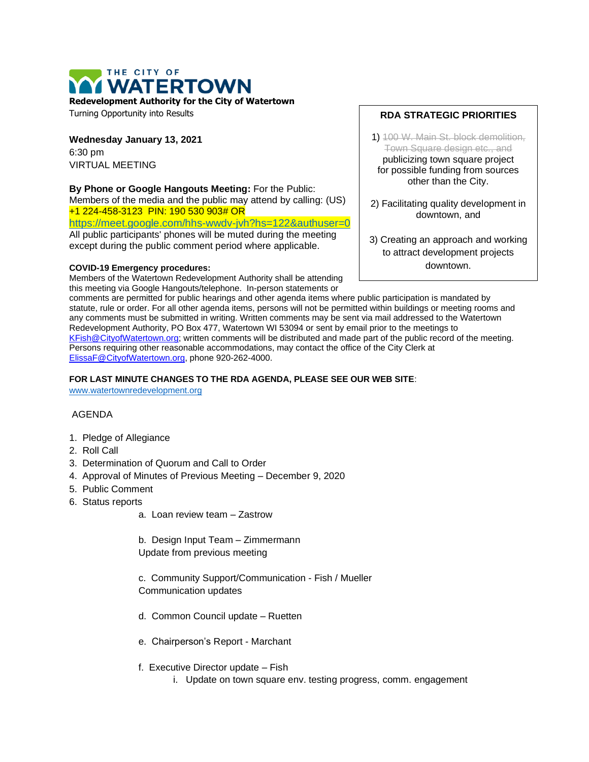# THE CITY OF **WATERTOWN**

**Redevelopment Authority for the City of Watertown**

Turning Opportunity into Results

**Wednesday January 13, 2021** 6:30 pm VIRTUAL MEETING

### **By Phone or Google Hangouts Meeting:** For the Public:

Members of the media and the public may attend by calling: (US) +1 224-458-3123 PIN: 190 530 903# OR <https://meet.google.com/hhs-wwdv-jvh?hs=122&authuser=0>

All public participants' phones will be muted during the meeting except during the public comment period where applicable.

#### **COVID-19 Emergency procedures:**

Members of the Watertown Redevelopment Authority shall be attending this meeting via Google Hangouts/telephone. In-person statements or

#### **RDA STRATEGIC PRIORITIES**

- 1) 100 W. Main St. block demolition, Town Square design etc., and publicizing town square project for possible funding from sources other than the City.
- 2) Facilitating quality development in downtown, and
- 3) Creating an approach and working to attract development projects downtown.

comments are permitted for public hearings and other agenda items where public participation is mandated by statute, rule or order. For all other agenda items, persons will not be permitted within buildings or meeting rooms and any comments must be submitted in writing. Written comments may be sent via mail addressed to the Watertown Redevelopment Authority, PO Box 477, Watertown WI 53094 or sent by email prior to the meetings to [KFish@CityofWatertown.org;](mailto:KFish@CityofWatertown.org) written comments will be distributed and made part of the public record of the meeting. Persons requiring other reasonable accommodations, may contact the office of the City Clerk at [ElissaF@CityofWatertown.org,](mailto:ElissaF@CityofWatertown.org) phone 920-262-4000.

#### **FOR LAST MINUTE CHANGES TO THE RDA AGENDA, PLEASE SEE OUR WEB SITE**:

[www.watertownredevelopment.org](http://www.watertownredevelopment.org/)

#### AGENDA

- 1. Pledge of Allegiance
- 2. Roll Call
- 3. Determination of Quorum and Call to Order
- 4. Approval of Minutes of Previous Meeting December 9, 2020
- 5. Public Comment
- 6. Status reports
	- a. Loan review team Zastrow

b. Design Input Team – Zimmermann Update from previous meeting

c. Community Support/Communication - Fish / Mueller Communication updates

- d. Common Council update Ruetten
- e. Chairperson's Report Marchant
- f. Executive Director update Fish
	- i. Update on town square env. testing progress, comm. engagement